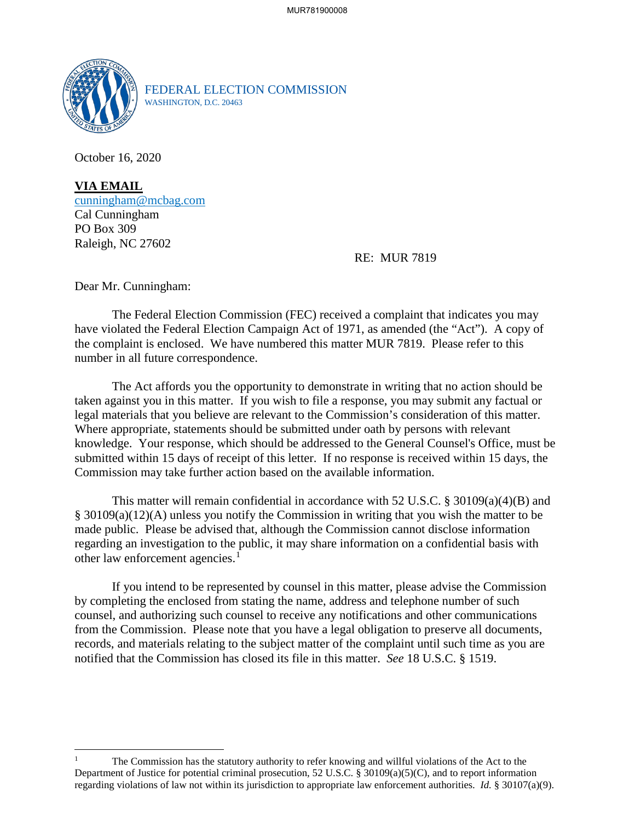

FEDERAL ELECTION COMMISSION WASHINGTON, D.C. 20463

October 16, 2020

**VIA EMAIL** cunningham@mcbag.com Cal Cunningham PO Box 309 Raleigh, NC 27602

RE: MUR 7819

Dear Mr. Cunningham:

 $\overline{a}$ 

The Federal Election Commission (FEC) received a complaint that indicates you may have violated the Federal Election Campaign Act of 1971, as amended (the "Act"). A copy of the complaint is enclosed. We have numbered this matter MUR 7819. Please refer to this number in all future correspondence.

 The Act affords you the opportunity to demonstrate in writing that no action should be taken against you in this matter. If you wish to file a response, you may submit any factual or legal materials that you believe are relevant to the Commission's consideration of this matter. Where appropriate, statements should be submitted under oath by persons with relevant knowledge. Your response, which should be addressed to the General Counsel's Office, must be submitted within 15 days of receipt of this letter. If no response is received within 15 days, the Commission may take further action based on the available information.

This matter will remain confidential in accordance with 52 U.S.C. § 30109(a)(4)(B) and § 30109(a)(12)(A) unless you notify the Commission in writing that you wish the matter to be made public. Please be advised that, although the Commission cannot disclose information regarding an investigation to the public, it may share information on a confidential basis with other law enforcement agencies.<sup>1</sup>

If you intend to be represented by counsel in this matter, please advise the Commission by completing the enclosed from stating the name, address and telephone number of such counsel, and authorizing such counsel to receive any notifications and other communications from the Commission. Please note that you have a legal obligation to preserve all documents, records, and materials relating to the subject matter of the complaint until such time as you are notified that the Commission has closed its file in this matter. *See* 18 U.S.C. § 1519.

<sup>1</sup> The Commission has the statutory authority to refer knowing and willful violations of the Act to the Department of Justice for potential criminal prosecution, 52 U.S.C. § 30109(a)(5)(C), and to report information regarding violations of law not within its jurisdiction to appropriate law enforcement authorities. *Id.* § 30107(a)(9).